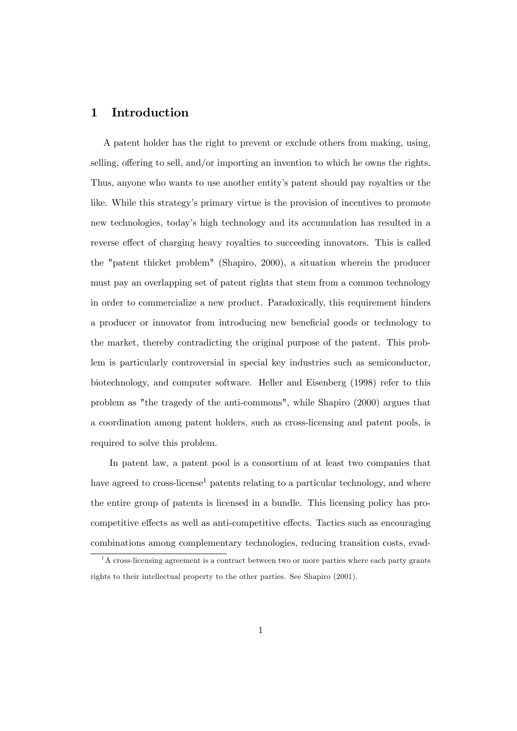# 1 Introduction

A patent holder has the right to prevent or exclude others from making, using, selling, offering to sell, and/or importing an invention to which he owns the rights. Thus, anyone who wants to use another entity's patent should pay royalties or the like. While this strategy's primary virtue is the provision of incentives to promote new technologies, todayís high technology and its accumulation has resulted in a reverse effect of charging heavy royalties to succeeding innovators. This is called the "patent thicket problem" (Shapiro, 2000), a situation wherein the producer must pay an overlapping set of patent rights that stem from a common technology in order to commercialize a new product. Paradoxically, this requirement hinders a producer or innovator from introducing new beneficial goods or technology to the market, thereby contradicting the original purpose of the patent. This problem is particularly controversial in special key industries such as semiconductor, biotechnology, and computer software. Heller and Eisenberg (1998) refer to this problem as "the tragedy of the anti-commons", while Shapiro (2000) argues that a coordination among patent holders, such as cross-licensing and patent pools, is required to solve this problem.

In patent law, a patent pool is a consortium of at least two companies that have agreed to cross-license<sup>1</sup> patents relating to a particular technology, and where the entire group of patents is licensed in a bundle. This licensing policy has procompetitive effects as well as anti-competitive effects. Tactics such as encouraging combinations among complementary technologies, reducing transition costs, evad-

 $1A$  cross-licensing agreement is a contract between two or more parties where each party grants rights to their intellectual property to the other parties. See Shapiro (2001).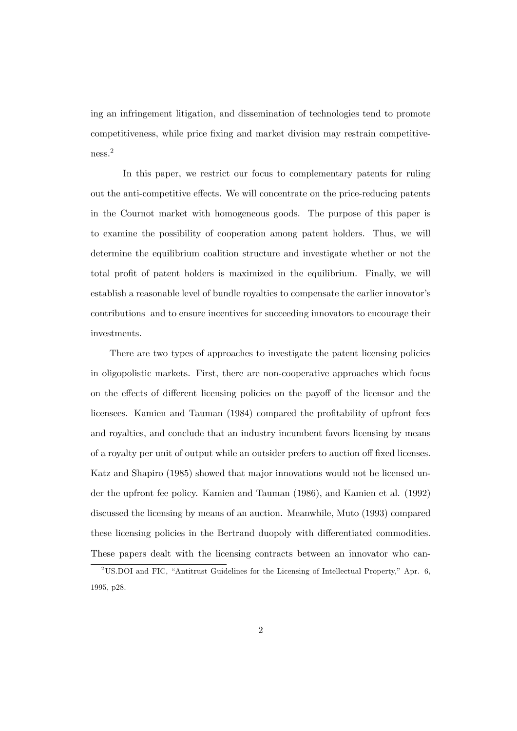ing an infringement litigation, and dissemination of technologies tend to promote competitiveness, while price Öxing and market division may restrain competitiveness.<sup>2</sup>

In this paper, we restrict our focus to complementary patents for ruling out the anti-competitive effects. We will concentrate on the price-reducing patents in the Cournot market with homogeneous goods. The purpose of this paper is to examine the possibility of cooperation among patent holders. Thus, we will determine the equilibrium coalition structure and investigate whether or not the total profit of patent holders is maximized in the equilibrium. Finally, we will establish a reasonable level of bundle royalties to compensate the earlier innovator's contributions and to ensure incentives for succeeding innovators to encourage their investments.

There are two types of approaches to investigate the patent licensing policies in oligopolistic markets. First, there are non-cooperative approaches which focus on the effects of different licensing policies on the payoff of the licensor and the licensees. Kamien and Tauman (1984) compared the profitability of upfront fees and royalties, and conclude that an industry incumbent favors licensing by means of a royalty per unit of output while an outsider prefers to auction off fixed licenses. Katz and Shapiro (1985) showed that major innovations would not be licensed under the upfront fee policy. Kamien and Tauman (1986), and Kamien et al. (1992) discussed the licensing by means of an auction. Meanwhile, Muto (1993) compared these licensing policies in the Bertrand duopoly with differentiated commodities. These papers dealt with the licensing contracts between an innovator who can-

<sup>&</sup>lt;sup>2</sup>US.DOI and FIC, "Antitrust Guidelines for the Licensing of Intellectual Property," Apr. 6, 1995, p28.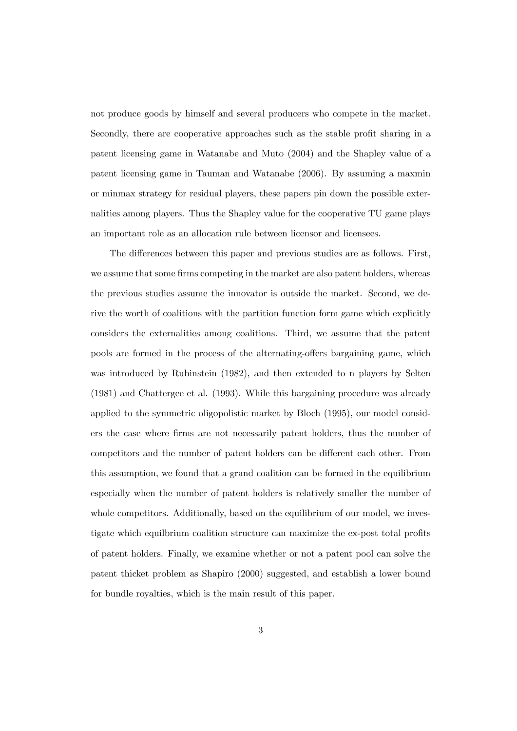not produce goods by himself and several producers who compete in the market. Secondly, there are cooperative approaches such as the stable profit sharing in a patent licensing game in Watanabe and Muto (2004) and the Shapley value of a patent licensing game in Tauman and Watanabe (2006). By assuming a maxmin or minmax strategy for residual players, these papers pin down the possible externalities among players. Thus the Shapley value for the cooperative TU game plays an important role as an allocation rule between licensor and licensees.

The differences between this paper and previous studies are as follows. First, we assume that some firms competing in the market are also patent holders, whereas the previous studies assume the innovator is outside the market. Second, we derive the worth of coalitions with the partition function form game which explicitly considers the externalities among coalitions. Third, we assume that the patent pools are formed in the process of the alternating-offers bargaining game, which was introduced by Rubinstein (1982), and then extended to n players by Selten (1981) and Chattergee et al. (1993). While this bargaining procedure was already applied to the symmetric oligopolistic market by Bloch (1995), our model considers the case where Örms are not necessarily patent holders, thus the number of competitors and the number of patent holders can be different each other. From this assumption, we found that a grand coalition can be formed in the equilibrium especially when the number of patent holders is relatively smaller the number of whole competitors. Additionally, based on the equilibrium of our model, we investigate which equilibrium coalition structure can maximize the ex-post total profits of patent holders. Finally, we examine whether or not a patent pool can solve the patent thicket problem as Shapiro (2000) suggested, and establish a lower bound for bundle royalties, which is the main result of this paper.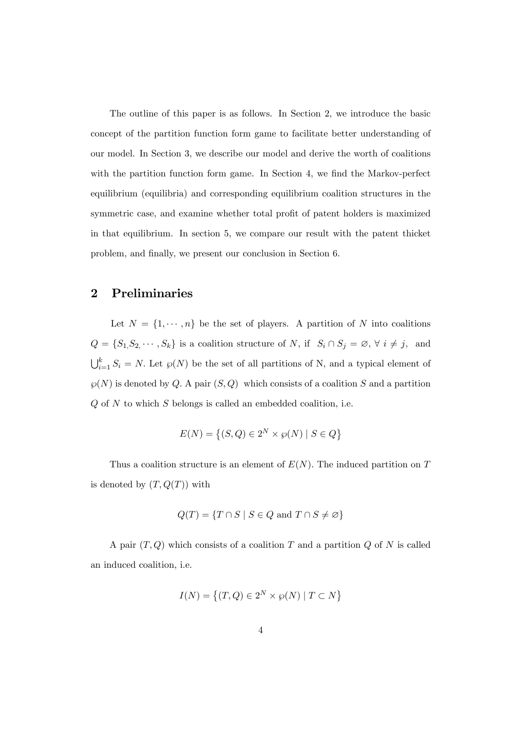The outline of this paper is as follows. In Section 2, we introduce the basic concept of the partition function form game to facilitate better understanding of our model. In Section 3, we describe our model and derive the worth of coalitions with the partition function form game. In Section 4, we find the Markov-perfect equilibrium (equilibria) and corresponding equilibrium coalition structures in the symmetric case, and examine whether total profit of patent holders is maximized in that equilibrium. In section 5, we compare our result with the patent thicket problem, and finally, we present our conclusion in Section 6.

## 2 Preliminaries

Let  $N = \{1, \dots, n\}$  be the set of players. A partition of N into coalitions  $Q = \{S_1, S_2, \cdots, S_k\}$  is a coalition structure of N, if  $S_i \cap S_j = \emptyset$ ,  $\forall i \neq j$ , and  $\bigcup_{i=1}^k S_i = N$ . Let  $\wp(N)$  be the set of all partitions of N, and a typical element of  $\wp(N)$  is denoted by Q. A pair  $(S, Q)$  which consists of a coalition S and a partition  $Q$  of  $N$  to which  $S$  belongs is called an embedded coalition, i.e.

$$
E(N) = \left\{ (S, Q) \in 2^N \times \wp(N) \mid S \in Q \right\}
$$

Thus a coalition structure is an element of  $E(N)$ . The induced partition on T is denoted by  $(T, Q(T))$  with

$$
Q(T) = \{ T \cap S \mid S \in Q \text{ and } T \cap S \neq \varnothing \}
$$

A pair  $(T, Q)$  which consists of a coalition T and a partition Q of N is called an induced coalition, i.e.

$$
I(N)=\left\{(T,Q)\in 2^N\times\wp(N)\mid T\subset N\right\}
$$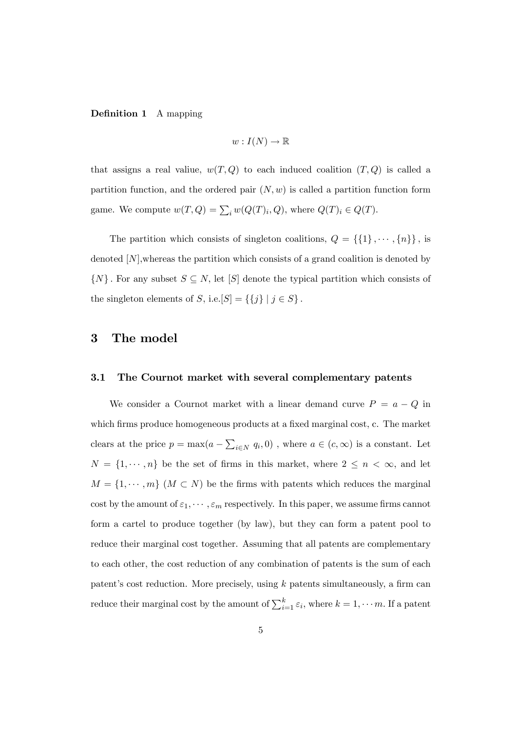## **Definition 1** A mapping

$$
w: I(N) \to \mathbb{R}
$$

that assigns a real valiue,  $w(T, Q)$  to each induced coalition  $(T, Q)$  is called a partition function, and the ordered pair  $(N, w)$  is called a partition function form game. We compute  $w(T, Q) = \sum_i w(Q(T)_i, Q)$ , where  $Q(T)_i \in Q(T)$ .

The partition which consists of singleton coalitions,  $Q = \{\{1\}, \cdots, \{n\}\}\,$ , is denoted  $[N]$ , whereas the partition which consists of a grand coalition is denoted by  $\{N\}$ . For any subset  $S \subseteq N$ , let  $[S]$  denote the typical partition which consists of the singleton elements of S, i.e.  $[S] = \{\{j\} | j \in S\}$ .

# 3 The model

#### 3.1 The Cournot market with several complementary patents

We consider a Cournot market with a linear demand curve  $P = a - Q$  in which firms produce homogeneous products at a fixed marginal cost, c. The market clears at the price  $p = \max(a - \sum_{i \in N} q_i, 0)$ , where  $a \in (c, \infty)$  is a constant. Let  $N = \{1, \dots, n\}$  be the set of firms in this market, where  $2 \leq n < \infty$ , and let  $M = \{1, \dots, m\}$   $(M \subset N)$  be the firms with patents which reduces the marginal cost by the amount of  $\varepsilon_1, \cdots, \varepsilon_m$  respectively. In this paper, we assume firms cannot form a cartel to produce together (by law), but they can form a patent pool to reduce their marginal cost together. Assuming that all patents are complementary to each other, the cost reduction of any combination of patents is the sum of each patent's cost reduction. More precisely, using  $k$  patents simultaneously, a firm can reduce their marginal cost by the amount of  $\sum_{i=1}^{k} \varepsilon_i$ , where  $k = 1, \dots m$ . If a patent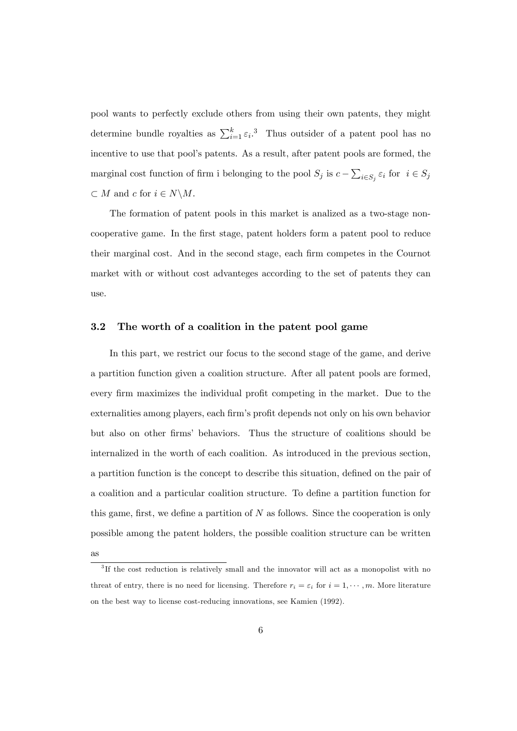pool wants to perfectly exclude others from using their own patents, they might determine bundle royalties as  $\sum_{i=1}^{k} \varepsilon_i$ .<sup>3</sup> Thus outsider of a patent pool has no incentive to use that pool's patents. As a result, after patent pools are formed, the marginal cost function of firm i belonging to the pool  $S_j$  is  $c - \sum_{i \in S_j} \varepsilon_i$  for  $i \in S_j$  $\subset M$  and c for  $i \in N \backslash M$ .

The formation of patent pools in this market is analized as a two-stage noncooperative game. In the Örst stage, patent holders form a patent pool to reduce their marginal cost. And in the second stage, each firm competes in the Cournot market with or without cost advanteges according to the set of patents they can use.

## 3.2 The worth of a coalition in the patent pool game

In this part, we restrict our focus to the second stage of the game, and derive a partition function given a coalition structure. After all patent pools are formed, every firm maximizes the individual profit competing in the market. Due to the externalities among players, each firm's profit depends not only on his own behavior but also on other firms' behaviors. Thus the structure of coalitions should be internalized in the worth of each coalition. As introduced in the previous section, a partition function is the concept to describe this situation, defined on the pair of a coalition and a particular coalition structure. To define a partition function for this game, first, we define a partition of  $N$  as follows. Since the cooperation is only possible among the patent holders, the possible coalition structure can be written

as

<sup>&</sup>lt;sup>3</sup>If the cost reduction is relatively small and the innovator will act as a monopolist with no threat of entry, there is no need for licensing. Therefore  $r_i = \varepsilon_i$  for  $i = 1, \dots, m$ . More literature on the best way to license cost-reducing innovations, see Kamien (1992).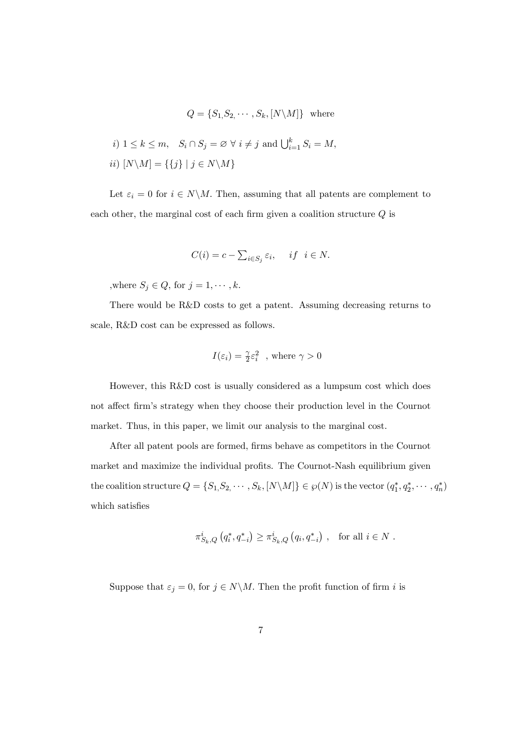$$
Q = \{S_1, S_2, \cdots, S_k, [N \setminus M]\} \text{ where}
$$
  

$$
i) \ 1 \le k \le m, \quad S_i \cap S_j = \emptyset \ \forall \ i \ne j \text{ and } \bigcup_{i=1}^k S_i = M,
$$
  

$$
ii) \ [N \setminus M] = \{\{j\} \mid j \in N \setminus M\}
$$

Let  $\varepsilon_i = 0$  for  $i \in N \backslash M$ . Then, assuming that all patents are complement to each other, the marginal cost of each firm given a coalition structure  $Q$  is

$$
C(i) = c - \sum_{i \in S_j} \varepsilon_i, \quad if \quad i \in N.
$$

,<br>where  $S_j \in Q,$  for  $j = 1, \cdots, k.$ 

There would be R&D costs to get a patent. Assuming decreasing returns to scale, R&D cost can be expressed as follows.

$$
I(\varepsilon_i)=\frac{\gamma}{2}\varepsilon_i^2\,
$$
 , where  $\gamma>0$ 

However, this R&D cost is usually considered as a lumpsum cost which does not affect firm's strategy when they choose their production level in the Cournot market. Thus, in this paper, we limit our analysis to the marginal cost.

After all patent pools are formed, firms behave as competitors in the Cournot market and maximize the individual profits. The Cournot-Nash equilibrium given the coalition structure  $Q = \{S_1, S_2, \cdots, S_k, [N \setminus M]\} \in \wp(N)$  is the vector  $(q_1^*, q_2^*, \cdots, q_n^*)$ which satisfies

$$
\pi_{S_k,Q}^i\left(q_i^*, q_{-i}^*\right) \ge \pi_{S_k,Q}^i\left(q_i, q_{-i}^*\right) , \text{ for all } i \in N .
$$

Suppose that  $\varepsilon_j = 0$ , for  $j \in N \backslash M$ . Then the profit function of firm i is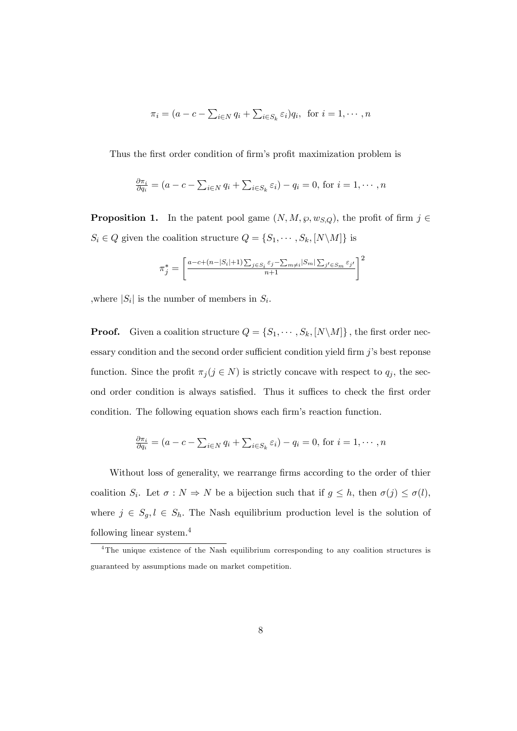$$
\pi_i = (a - c - \sum_{i \in N} q_i + \sum_{i \in S_k} \varepsilon_i) q_i, \text{ for } i = 1, \cdots, n
$$

Thus the first order condition of firm's profit maximization problem is

$$
\frac{\partial \pi_i}{\partial q_i} = (a - c - \sum_{i \in N} q_i + \sum_{i \in S_k} \varepsilon_i) - q_i = 0, \text{ for } i = 1, \cdots, n
$$

**Proposition 1.** In the patent pool game  $(N, M, \wp, w_{S,Q})$ , the profit of firm  $j \in$  $S_i \in Q$  given the coalition structure  $Q = \{S_1, \cdots, S_k, [N \backslash M]\}$  is

$$
\pi_j^* = \left[ \frac{a-c+(n-|S_i|+1)\sum_{j\in S_i} \varepsilon_j - \sum_{m\neq i} |S_m| \sum_{j'\in S_m} \varepsilon_{j'}}{n+1} \right]^2
$$

where  $|S_i|$  is the number of members in  $S_i$ .

**Proof.** Given a coalition structure  $Q = \{S_1, \dots, S_k, [N \setminus M]\}$ , the first order necessary condition and the second order sufficient condition yield firm  $j$ 's best reponse function. Since the profit  $\pi_j (j \in N)$  is strictly concave with respect to  $q_j$ , the second order condition is always satisfied. Thus it suffices to check the first order condition. The following equation shows each firm's reaction function.

$$
\frac{\partial \pi_i}{\partial q_i} = (a - c - \sum_{i \in N} q_i + \sum_{i \in S_k} \varepsilon_i) - q_i = 0, \text{ for } i = 1, \cdots, n
$$

Without loss of generality, we rearrange firms according to the order of thier coalition  $S_i$ . Let  $\sigma : N \Rightarrow N$  be a bijection such that if  $g \leq h$ , then  $\sigma(j) \leq \sigma(l)$ , where  $j \in S_g, l \in S_h$ . The Nash equilibrium production level is the solution of following linear system.<sup>4</sup>

<sup>&</sup>lt;sup>4</sup>The unique existence of the Nash equilibrium corresponding to any coalition structures is guaranteed by assumptions made on market competition.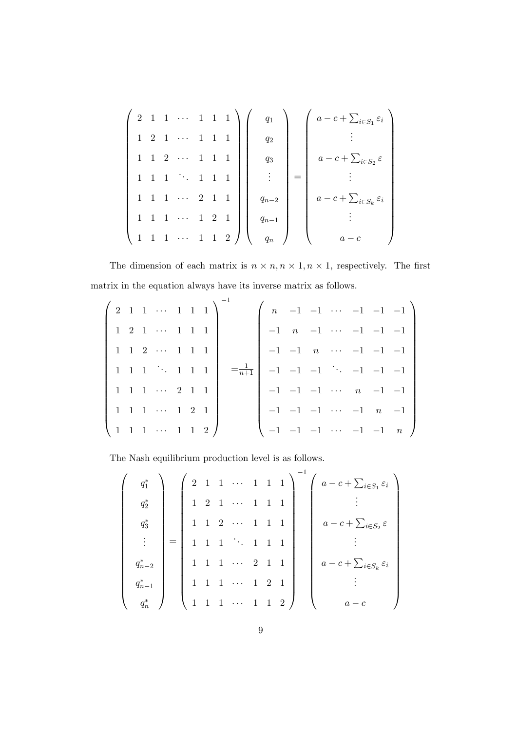$$
\begin{pmatrix}\n2 & 1 & 1 & \cdots & 1 & 1 & 1 \\
1 & 2 & 1 & \cdots & 1 & 1 & 1 \\
1 & 1 & 2 & \cdots & 1 & 1 & 1 \\
1 & 1 & 1 & \cdots & 2 & 1 & 1 \\
1 & 1 & 1 & \cdots & 1 & 2 & 1 \\
1 & 1 & 1 & \cdots & 1 & 1 & 2\n\end{pmatrix}\n\begin{pmatrix}\nq_1 \\
q_2 \\
q_3 \\
\vdots \\
q_{n-2} \\
q_{n-1} \\
q_n\n\end{pmatrix}\n=\n\begin{pmatrix}\na - c + \sum_{i \in S_1} \varepsilon_i \\
a - c + \sum_{i \in S_2} \varepsilon \\
\vdots \\
a - c + \sum_{i \in S_k} \varepsilon_i \\
\vdots \\
a - c\n\end{pmatrix}
$$

The dimension of each matrix is  $n \times n, n \times 1, n \times 1$ , respectively. The first matrix in the equation always have its inverse matrix as follows.

|  |  | $\left(2\ 1\ 1\ \cdots\ 1\ 1\ 1\right)$                        |  |  |  |  |  | $\begin{pmatrix} n & -1 & -1 & \cdots & -1 & -1 & -1 \end{pmatrix}$ |
|--|--|----------------------------------------------------------------|--|--|--|--|--|---------------------------------------------------------------------|
|  |  | 1 2 1  1 1 1                                                   |  |  |  |  |  | $-1$ n -1 $\cdots$ -1 -1 -1 -1                                      |
|  |  | 1 1 2  1 1 1                                                   |  |  |  |  |  | $-1$ $-1$ $n$ $\cdots$ $-1$ $-1$ $-1$                               |
|  |  | $1 \t1 \t1 \t \t1 \t1$                                         |  |  |  |  |  | $=\frac{1}{n+1}$   -1 -1 -1 $\cdots$ -1 -1 -1                       |
|  |  | 1 1 1  2 1 1                                                   |  |  |  |  |  | $-1$ $-1$ $-1$ $\cdots$ $n$ $-1$ $-1$                               |
|  |  | 1 1 1  1 2 1                                                   |  |  |  |  |  | $-1$ $-1$ $-1$ $\cdots$ $-1$ $n$ $-1$                               |
|  |  | $\begin{pmatrix} 1 & 1 & 1 & \cdots & 1 & 1 & 2 \end{pmatrix}$ |  |  |  |  |  | $\begin{pmatrix} -1 & -1 & -1 & \cdots & -1 & -1 & n \end{pmatrix}$ |

The Nash equilibrium production level is as follows.

| $q_1^*$     |                                       |                | $\left(2\quad1\quad1\quad\cdots\quad1\quad1\quad1\right)$ |                     |                |                | $\left(a-c+\sum_{i\in S_1}\varepsilon_i\right)$ |
|-------------|---------------------------------------|----------------|-----------------------------------------------------------|---------------------|----------------|----------------|-------------------------------------------------|
| $q_2^*$     | 1 2                                   |                | $1 \cdots$                                                |                     | $1\quad1$      |                |                                                 |
| $q_3^*$     |                                       |                | $1\quad 1\quad 2\quad \cdots$                             | $\overline{1}$      | $1\quad1$      |                | $a-c+\sum_{i\in S_2}\varepsilon$                |
|             | $\mathbf{1}$                          | $\overline{1}$ | $\mathcal{O}(\mathcal{O}_\mathcal{A})$                    | $1\quad1$           |                |                |                                                 |
| $q_{n-2}^*$ | $\mathbf{1}$                          |                | $\cdots$ 2 1 1                                            |                     |                |                | $a-c+\sum_{i\in S_k}\varepsilon_i$              |
| $q_{n-1}^*$ | $\begin{pmatrix} 1 & 1 \end{pmatrix}$ |                | $\ldots$                                                  | $1 \quad 2 \quad 1$ |                |                |                                                 |
|             | $\begin{pmatrix} 1 & 1 \end{pmatrix}$ |                | $1 \cdots 1$                                              |                     | $\overline{1}$ | $\overline{2}$ | $a-c$                                           |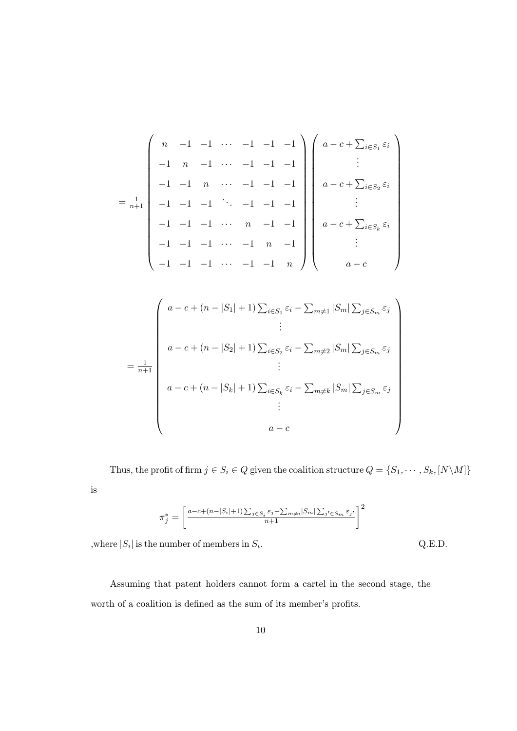$$
= \frac{1}{n+1} \begin{pmatrix} n & -1 & -1 & \cdots & -1 & -1 & -1 \\ -1 & n & -1 & \cdots & -1 & -1 & -1 \\ -1 & -1 & n & \cdots & -1 & -1 & -1 \\ -1 & -1 & -1 & \ddots & -1 & -1 & -1 \\ -1 & -1 & -1 & \cdots & n & -1 & -1 \\ -1 & -1 & -1 & \cdots & -1 & n & -1 \end{pmatrix} \begin{pmatrix} a-c+\sum_{i\in S_1} \varepsilon_i \\ \vdots \\ a-c+\sum_{i\in S_k} \varepsilon_i \\ \vdots \\ a-c+\sum_{i\in S_k} \varepsilon_i \\ \vdots \\ a-c \end{pmatrix}
$$

$$
= \frac{1}{n+1} \begin{pmatrix} a-c + (n-|S_1|+1) \sum_{i \in S_1} \varepsilon_i - \sum_{m \neq 1} |S_m| \sum_{j \in S_m} \varepsilon_j \\ \vdots \\ a-c + (n-|S_2|+1) \sum_{i \in S_2} \varepsilon_i - \sum_{m \neq 2} |S_m| \sum_{j \in S_m} \varepsilon_j \\ \vdots \\ a-c + (n-|S_k|+1) \sum_{i \in S_k} \varepsilon_i - \sum_{m \neq k} |S_m| \sum_{j \in S_m} \varepsilon_j \\ \vdots \\ a-c \end{pmatrix}
$$

Thus, the profit of firm  $j \in S_i \in Q$  given the coalition structure  $Q = \{S_1, \dots, S_k, [N \setminus M]\}$ is

$$
\pi_j^* = \left[ \frac{a-c+(n-|S_i|+1)\sum_{j\in S_i} \varepsilon_j - \sum_{m\neq i} |S_m| \sum_{j'\in S_m} \varepsilon_{j'}}{n+1} \right]^2
$$

, where  $|S_i|$  is the number of members in  $S_i$ 

 $Q.E.D.$ 

Assuming that patent holders cannot form a cartel in the second stage, the worth of a coalition is defined as the sum of its member's profits.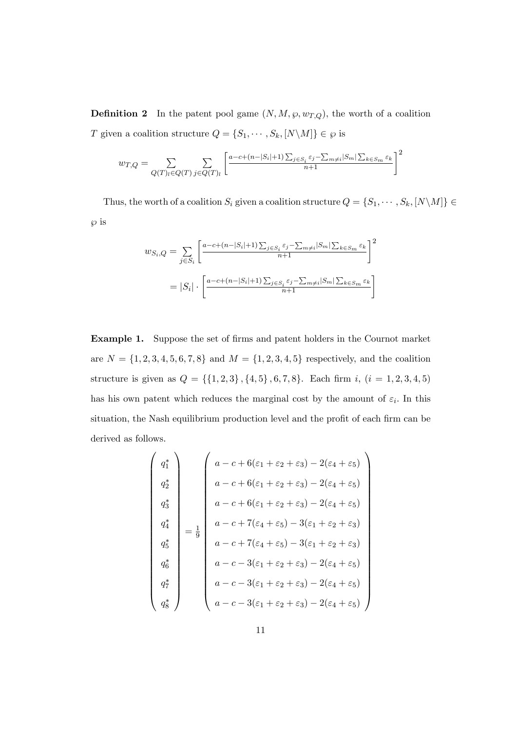**Definition 2** In the patent pool game  $(N, M, \wp, w_{T,Q})$ , the worth of a coalition T given a coalition structure  $Q = \{S_1, \dots, S_k, [N \setminus M]\} \in \wp$  is

$$
w_{T,Q} = \sum_{Q(T)_l \in Q(T)} \sum_{j \in Q(T)_l} \left[ \frac{a - c + (n - |S_i| + 1) \sum_{j \in S_i} \varepsilon_j - \sum_{m \neq i} |S_m| \sum_{k \in S_m} \varepsilon_k}{n + 1} \right]^2
$$

Thus, the worth of a coalition  $S_i$  given a coalition structure  $Q = \{S_1, \dots, S_k, [N \setminus M]\} \in$  $\wp$  is

$$
w_{S_i,Q} = \sum_{j \in S_i} \left[ \frac{a - c + (n - |S_i| + 1) \sum_{j \in S_i} \varepsilon_j - \sum_{m \neq i} |S_m| \sum_{k \in S_m} \varepsilon_k}{n + 1} \right]^2
$$
  
=  $|S_i| \cdot \left[ \frac{a - c + (n - |S_i| + 1) \sum_{j \in S_i} \varepsilon_j - \sum_{m \neq i} |S_m| \sum_{k \in S_m} \varepsilon_k}{n + 1} \right]$ 

Example 1. Suppose the set of firms and patent holders in the Cournot market are  $N = \{1, 2, 3, 4, 5, 6, 7, 8\}$  and  $M = \{1, 2, 3, 4, 5\}$  respectively, and the coalition structure is given as  $Q = \{\{1, 2, 3\}, \{4, 5\}, 6, 7, 8\}$ . Each firm *i*,  $(i = 1, 2, 3, 4, 5)$ has his own patent which reduces the marginal cost by the amount of  $\varepsilon_i$ . In this situation, the Nash equilibrium production level and the profit of each firm can be derived as follows.

$$
\begin{pmatrix}\nq_1^* \\
q_2^* \\
q_3^* \\
q_4^* \\
q_5^* \\
q_6^* \\
q_7^* \\
q_8^* \\
q_8^* \\
q_9^* \\
q_1^* \\
q_2^* \\
q_3^* \\
q_4^* \\
q_5^* \\
q_6^* \\
q_7^* \\
q_8^* \\
q_9^* \\
q_1^* \\
q_2^* \\
q_3^* \\
q_4^* \\
q_5^* \\
q_6^* \\
q_7^* \\
q_8^* \\
q_9^* \\
q_1^* \\
q_2^* \\
q_3^* \\
q_4^* \\
q_5^* \\
q_6^* \\
q_7^* \\
q_8^* \\
q_9^* \\
q_1^* \\
q_2^* \\
q_3^* \\
q_4^* \\
q_5^* \\
q_6^* \\
q_7^* \\
q_8^* \\
q_9^* \\
q_1^* \\
q_2^* \\
q_3^* \\
q_4^* \\
q_5^* \\
q_6^* \\
q_7^* \\
q_8^* \\
q_9^* \\
q_1^* \\
q_2^* \\
q_3^* \\
q_4^* \\
q_5^* \\
q_6^* \\
q_7^* \\
q_8^* \\
q_9^* \\
q_1^* \\
q_2^* \\
q_3^* \\
q_4^* \\
q_5^* \\
q_6^* \\
q_7^* \\
q_8^* \\
q_9^* \\
q_1^* \\
q_2^* \\
q_3^* \\
q_4^* \\
q_5^* \\
q_6^* \\
q_7^* \\
q_8^* \\
q_9^* \\
q_1^* \\
q_2^* \\
q_3^* \\
q_4^* \\
q_5^* \\
q_6^* \\
q_7^* \\
q_8^* \\
q_9^* \\
q_1^* \\
q_2^* \\
q_3^* \\
q_4^* \\
q_5^* \\
q_6^* \\
q_7^* \\
q_8^* \\
q_9^* \\
q_0^* \\
q_0^* \\
q_1^* \\
q_2^* \\
q_3^* \\
q_4^* \\
q_5^* \\
q_6^* \\
q_7^* \\
q_8^* \\
q_9^* \\
q_0^* \\
q_0^* \\
q_0^* \\
q_0^* \\
q_0^* \\
q_0^* \\
q_0^* \\
q_0^* \\
q_0^* \\
q_0^* \\
q_0^* \\
q_0^* \\
q_0^* \\
q_0^* \\
q_0
$$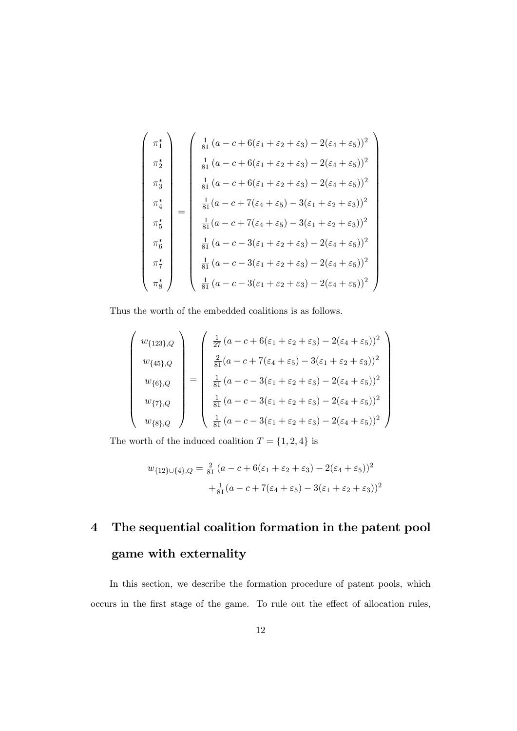$$
\begin{pmatrix}\n\pi_1^* \\
\pi_2^* \\
\pi_3^* \\
\pi_4^* \\
\pi_5^* \\
\pi_6^* \\
\pi_7^* \\
\pi_8^* \\
\pi_8^* \\
\begin{pmatrix}\n\frac{1}{81}(a - c + 6(\varepsilon_1 + \varepsilon_2 + \varepsilon_3) - 2(\varepsilon_4 + \varepsilon_5))^2 \\
\frac{1}{81}(a - c + 6(\varepsilon_1 + \varepsilon_2 + \varepsilon_3) - 2(\varepsilon_4 + \varepsilon_5))^2 \\
\frac{1}{81}(a - c + 6(\varepsilon_1 + \varepsilon_2 + \varepsilon_3) - 2(\varepsilon_4 + \varepsilon_5))^2 \\
\frac{1}{81}(a - c + 7(\varepsilon_4 + \varepsilon_5) - 3(\varepsilon_1 + \varepsilon_2 + \varepsilon_3))^2 \\
\frac{1}{81}(a - c + 7(\varepsilon_4 + \varepsilon_5) - 3(\varepsilon_1 + \varepsilon_2 + \varepsilon_3))^2 \\
\pi_7^* \\
\frac{1}{81}(a - c - 3(\varepsilon_1 + \varepsilon_2 + \varepsilon_3) - 2(\varepsilon_4 + \varepsilon_5))^2 \\
\pi_8^* \\
\frac{1}{81}(a - c - 3(\varepsilon_1 + \varepsilon_2 + \varepsilon_3) - 2(\varepsilon_4 + \varepsilon_5))^2 \\
\frac{1}{81}(a - c - 3(\varepsilon_1 + \varepsilon_2 + \varepsilon_3) - 2(\varepsilon_4 + \varepsilon_5))^2\n\end{pmatrix}
$$

Thus the worth of the embedded coalitions is as follows.

$$
\begin{pmatrix}\nw_{\{123\},Q} \\
w_{\{45\},Q} \\
w_{\{6\},Q} \\
w_{\{8\},Q}\n\end{pmatrix} = \begin{pmatrix}\n\frac{1}{27}(a-c+6(\varepsilon_1+\varepsilon_2+\varepsilon_3)-2(\varepsilon_4+\varepsilon_5))^2 \\
\frac{2}{81}(a-c+7(\varepsilon_4+\varepsilon_5)-3(\varepsilon_1+\varepsilon_2+\varepsilon_3))^2 \\
\frac{1}{81}(a-c-3(\varepsilon_1+\varepsilon_2+\varepsilon_3)-2(\varepsilon_4+\varepsilon_5))^2 \\
\frac{1}{81}(a-c-3(\varepsilon_1+\varepsilon_2+\varepsilon_3)-2(\varepsilon_4+\varepsilon_5))^2 \\
\frac{1}{81}(a-c-3(\varepsilon_1+\varepsilon_2+\varepsilon_3)-2(\varepsilon_4+\varepsilon_5))^2\n\end{pmatrix}
$$

The worth of the induced coalition  $T=\{1,2,4\}$  is

$$
w_{\{12\}\cup\{4\},Q} = \frac{2}{81}(a - c + 6(\varepsilon_1 + \varepsilon_2 + \varepsilon_3) - 2(\varepsilon_4 + \varepsilon_5))^2 + \frac{1}{81}(a - c + 7(\varepsilon_4 + \varepsilon_5) - 3(\varepsilon_1 + \varepsilon_2 + \varepsilon_3))^2
$$

# 4 The sequential coalition formation in the patent pool game with externality

In this section, we describe the formation procedure of patent pools, which occurs in the first stage of the game. To rule out the effect of allocation rules,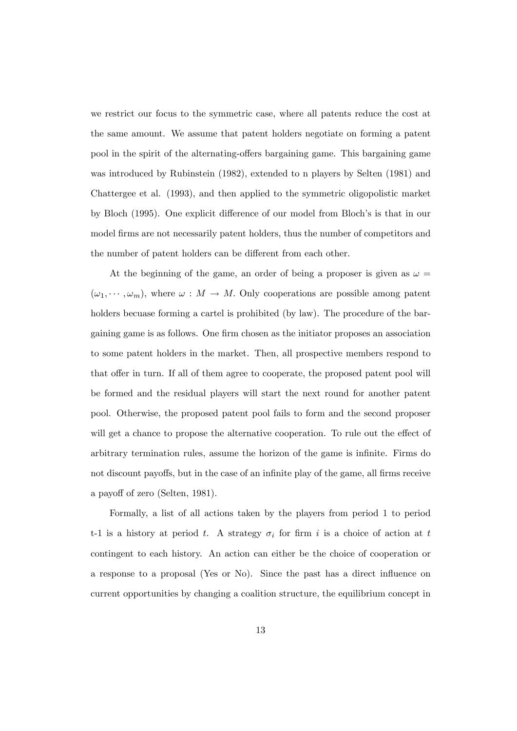we restrict our focus to the symmetric case, where all patents reduce the cost at the same amount. We assume that patent holders negotiate on forming a patent pool in the spirit of the alternating-offers bargaining game. This bargaining game was introduced by Rubinstein (1982), extended to n players by Selten (1981) and Chattergee et al. (1993), and then applied to the symmetric oligopolistic market by Bloch (1995). One explicit difference of our model from Bloch's is that in our model firms are not necessarily patent holders, thus the number of competitors and the number of patent holders can be different from each other.

At the beginning of the game, an order of being a proposer is given as  $\omega =$  $(\omega_1, \dots, \omega_m)$ , where  $\omega : M \to M$ . Only cooperations are possible among patent holders becuase forming a cartel is prohibited (by law). The procedure of the bargaining game is as follows. One firm chosen as the initiator proposes an association to some patent holders in the market. Then, all prospective members respond to that offer in turn. If all of them agree to cooperate, the proposed patent pool will be formed and the residual players will start the next round for another patent pool. Otherwise, the proposed patent pool fails to form and the second proposer will get a chance to propose the alternative cooperation. To rule out the effect of arbitrary termination rules, assume the horizon of the game is infinite. Firms do not discount payoffs, but in the case of an infinite play of the game, all firms receive a payoff of zero (Selten, 1981).

Formally, a list of all actions taken by the players from period 1 to period t-1 is a history at period t. A strategy  $\sigma_i$  for firm i is a choice of action at t contingent to each history. An action can either be the choice of cooperation or a response to a proposal (Yes or No). Since the past has a direct influence on current opportunities by changing a coalition structure, the equilibrium concept in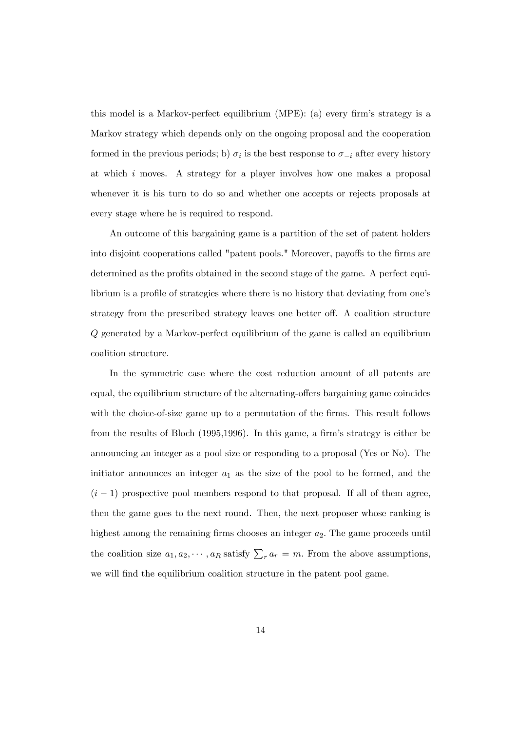this model is a Markov-perfect equilibrium (MPE): (a) every firm's strategy is a Markov strategy which depends only on the ongoing proposal and the cooperation formed in the previous periods; b)  $\sigma_i$  is the best response to  $\sigma_{-i}$  after every history at which i moves. A strategy for a player involves how one makes a proposal whenever it is his turn to do so and whether one accepts or rejects proposals at every stage where he is required to respond.

An outcome of this bargaining game is a partition of the set of patent holders into disjoint cooperations called "patent pools." Moreover, payoffs to the firms are determined as the profits obtained in the second stage of the game. A perfect equilibrium is a profile of strategies where there is no history that deviating from one's strategy from the prescribed strategy leaves one better off. A coalition structure Q generated by a Markov-perfect equilibrium of the game is called an equilibrium coalition structure.

In the symmetric case where the cost reduction amount of all patents are equal, the equilibrium structure of the alternating-offers bargaining game coincides with the choice-of-size game up to a permutation of the firms. This result follows from the results of Bloch (1995,1996). In this game, a firm's strategy is either be announcing an integer as a pool size or responding to a proposal (Yes or No). The initiator announces an integer  $a_1$  as the size of the pool to be formed, and the  $(i - 1)$  prospective pool members respond to that proposal. If all of them agree, then the game goes to the next round. Then, the next proposer whose ranking is highest among the remaining firms chooses an integer  $a_2$ . The game proceeds until the coalition size  $a_1, a_2, \dots, a_R$  satisfy  $\sum_r a_r = m$ . From the above assumptions, we will find the equilibrium coalition structure in the patent pool game.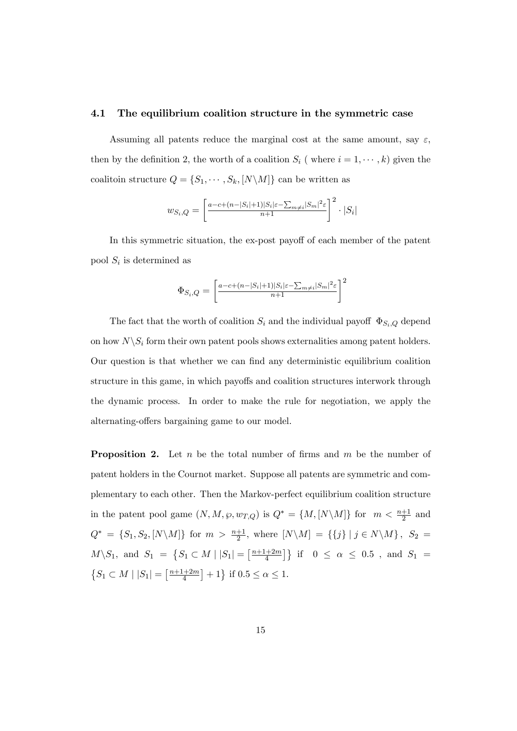#### 4.1 The equilibrium coalition structure in the symmetric case

Assuming all patents reduce the marginal cost at the same amount, say  $\varepsilon$ , then by the definition 2, the worth of a coalition  $S_i$  (where  $i = 1, \dots, k$ ) given the coalitoin structure  $Q = \{S_1, \dots, S_k, [N \setminus M]\}$  can be written as

$$
w_{S_i,Q} = \left[\frac{\frac{a-c+(n-|S_i|+1)|S_i|\varepsilon-\sum_{m\neq i}|S_m|^2\varepsilon}{n+1}}{n+1}\right]^2 \cdot |S_i|
$$

In this symmetric situation, the ex-post payoff of each member of the patent pool  $S_i$  is determined as

$$
\Phi_{S_i,Q} = \left[ \frac{a - c + (n - |S_i| + 1)|S_i|\varepsilon - \sum_{m \neq i} |S_m|^2 \varepsilon}{n + 1} \right]^2
$$

The fact that the worth of coalition  $S_i$  and the individual payoff  $\Phi_{S_i,Q}$  depend on how  $N\backslash S_i$  form their own patent pools shows externalities among patent holders. Our question is that whether we can Önd any deterministic equilibrium coalition structure in this game, in which payoffs and coalition structures interwork through the dynamic process. In order to make the rule for negotiation, we apply the alternating-offers bargaining game to our model.

**Proposition 2.** Let n be the total number of firms and m be the number of patent holders in the Cournot market. Suppose all patents are symmetric and complementary to each other. Then the Markov-perfect equilibrium coalition structure in the patent pool game  $(N, M, \wp, w_{T,Q})$  is  $Q^* = \{M, [N \setminus M]\}$  for  $m < \frac{n+1}{2}$  and  $Q^* = \{S_1, S_2, [N \setminus M]\}$  for  $m > \frac{n+1}{2}$ , where  $[N \setminus M] = \{\{j\} | j \in N \setminus M\}$ ,  $S_2 =$  $M \setminus S_1$ , and  $S_1 = \{ S_1 \subset M \mid |S_1| = \left[ \frac{n+1+2m}{4} \right]$  $\left\{\frac{+2m}{4}\right\}$  if  $0 \leq \alpha \leq 0.5$ , and  $S_1 =$  $\{S_1 \subset M \mid |S_1| = \left[\frac{n+1+2m}{4}\right]$  $\frac{1+2m}{4}$  + 1 \ended if  $0.5 \le \alpha \le 1$ .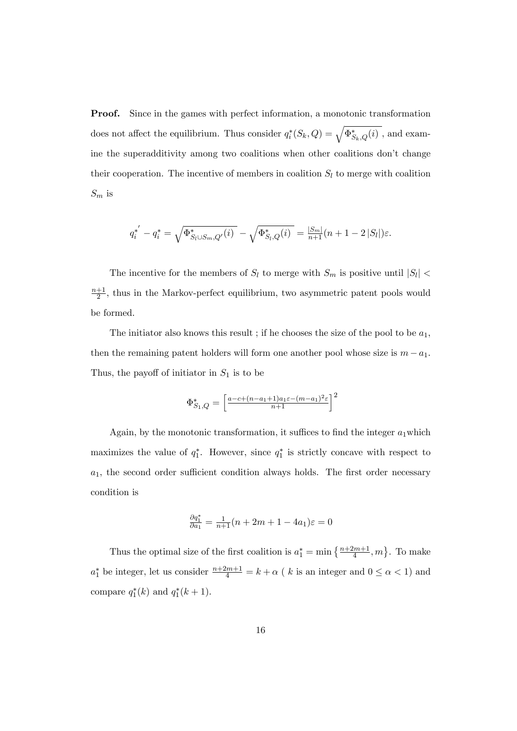Proof. Since in the games with perfect information, a monotonic transformation does not affect the equilibrium. Thus consider  $q_i^*(S_k, Q) = \sqrt{\Phi_{S_k, Q}^*(i)}$ , and examine the superadditivity among two coalitions when other coalitions don't change their cooperation. The incentive of members in coalition  $S_l$  to merge with coalition  $S_m$  is

$$
q_i^{*'} - q_i^* = \sqrt{\Phi_{S_l \cup S_m, Q'}^{*}(i)} - \sqrt{\Phi_{S_l, Q}^{*}(i)} = \frac{|S_m|}{n+1} (n+1-2|S_l|) \varepsilon.
$$

The incentive for the members of  $S_l$  to merge with  $S_m$  is positive until  $|S_l|$  <  $n+1$  $\frac{+1}{2}$ , thus in the Markov-perfect equilibrium, two asymmetric patent pools would be formed.

The initiator also knows this result; if he chooses the size of the pool to be  $a_1$ . then the remaining patent holders will form one another pool whose size is  $m - a_1$ . Thus, the payoff of initiator in  $S_1$  is to be

$$
\Phi_{S_1,Q}^* = \left[\frac{a-c+(n-a_1+1)a_1\varepsilon-(m-a_1)^2\varepsilon}{n+1}\right]^2
$$

Again, by the monotonic transformation, it suffices to find the integer  $a_1$  which maximizes the value of  $q_1^*$ . However, since  $q_1^*$  is strictly concave with respect to  $a_1$ , the second order sufficient condition always holds. The first order necessary condition is

$$
\frac{\partial q_1^*}{\partial a_1} = \frac{1}{n+1}(n+2m+1-4a_1)\varepsilon = 0
$$

Thus the optimal size of the first coalition is  $a_1^* = \min\left\{\frac{n+2m+1}{4}, m\right\}$ . To make  $a_1^*$  be integer, let us consider  $\frac{n+2m+1}{4} = k + \alpha$  ( k is an integer and  $0 \le \alpha < 1$ ) and compare  $q_1^*(k)$  and  $q_1^*(k+1)$ .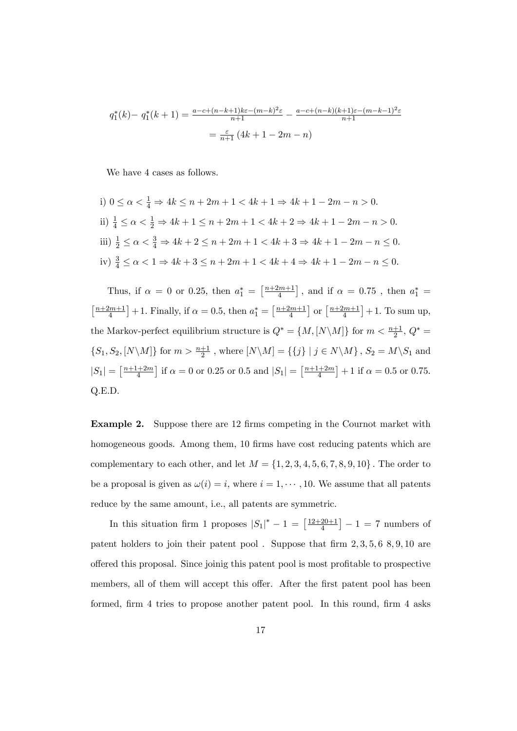$$
q_1^*(k) - q_1^*(k+1) = \frac{a - c + (n-k+1)k\varepsilon - (m-k)^2\varepsilon}{n+1} - \frac{a - c + (n-k)(k+1)\varepsilon - (m-k-1)^2\varepsilon}{n+1}
$$

$$
= \frac{\varepsilon}{n+1} (4k+1-2m-n)
$$

We have 4 cases as follows.

i) 
$$
0 \le \alpha < \frac{1}{4} \Rightarrow 4k \le n + 2m + 1 < 4k + 1 \Rightarrow 4k + 1 - 2m - n > 0.
$$
  
\nii)  $\frac{1}{4} \le \alpha < \frac{1}{2} \Rightarrow 4k + 1 \le n + 2m + 1 < 4k + 2 \Rightarrow 4k + 1 - 2m - n > 0.$   
\niii)  $\frac{1}{2} \le \alpha < \frac{3}{4} \Rightarrow 4k + 2 \le n + 2m + 1 < 4k + 3 \Rightarrow 4k + 1 - 2m - n \le 0.$   
\niv)  $\frac{3}{4} \le \alpha < 1 \Rightarrow 4k + 3 \le n + 2m + 1 < 4k + 4 \Rightarrow 4k + 1 - 2m - n \le 0.$ 

Thus, if  $\alpha = 0$  or 0.25, then  $a_1^* = \left[\frac{n+2m+1}{4}\right]$  $\left[\frac{2m+1}{4}\right]$ , and if  $\alpha = 0.75$ , then  $a_1^* =$  $\lceil \frac{n+2m+1}{2} \rceil$  $\left[\frac{lm+1}{4}\right] + 1.$  Finally, if  $\alpha = 0.5$ , then  $a_1^* = \left[\frac{n+2m+1}{4}\right]$  $\frac{2m+1}{4}$  or  $\left[\frac{n+2m+1}{4}\right]$  $\left[\frac{2m+1}{4}\right]+1$ . To sum up, the Markov-perfect equilibrium structure is  $Q^* = \{M, [N \setminus M]\}$  for  $m < \frac{n+1}{2}$ ,  $Q^* =$  $\{S_1, S_2, [N\setminus M]\}$  for  $m > \frac{n+1}{2}$ , where  $[N\setminus M] = \{\{j\} \mid j \in N\setminus M\}$ ,  $S_2 = M\setminus S_1$  and  $|S_1| = \left[\frac{n+1+2m}{4}\right]$  $\left[\frac{n+2m}{4}\right]$  if  $\alpha = 0$  or 0.25 or 0.5 and  $|S_1| = \left[\frac{n+1+2m}{4}\right]$  $\frac{1+2m}{4}$  + 1 if  $\alpha = 0.5$  or 0.75. Q.E.D:

**Example 2.** Suppose there are 12 firms competing in the Cournot market with homogeneous goods. Among them, 10 firms have cost reducing patents which are complementary to each other, and let  $M = \{1, 2, 3, 4, 5, 6, 7, 8, 9, 10\}$ . The order to be a proposal is given as  $\omega(i) = i$ , where  $i = 1, \dots, 10$ . We assume that all patents reduce by the same amount, i.e., all patents are symmetric.

In this situation firm 1 proposes  $|S_1|^* - 1 = \left[\frac{12+20+1}{4}\right]$  $\left[\frac{20+1}{4}\right] - 1 = 7$  numbers of patent holders to join their patent pool. Suppose that firm  $2, 3, 5, 6, 8, 9, 10$  are offered this proposal. Since joinig this patent pool is most profitable to prospective members, all of them will accept this offer. After the first patent pool has been formed, firm 4 tries to propose another patent pool. In this round, firm 4 asks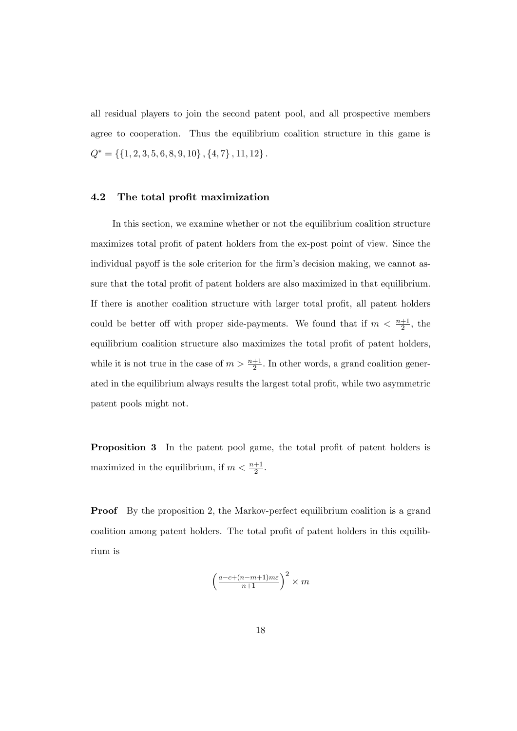all residual players to join the second patent pool, and all prospective members agree to cooperation. Thus the equilibrium coalition structure in this game is  $Q^* = \{\{1, 2, 3, 5, 6, 8, 9, 10\}$  ,  $\{4, 7\}$  ,  $11, 12\}$  .

## 4.2 The total profit maximization

In this section, we examine whether or not the equilibrium coalition structure maximizes total profit of patent holders from the ex-post point of view. Since the individual payoff is the sole criterion for the firm's decision making, we cannot assure that the total profit of patent holders are also maximized in that equilibrium. If there is another coalition structure with larger total profit, all patent holders could be better off with proper side-payments. We found that if  $m < \frac{n+1}{2}$ , the equilibrium coalition structure also maximizes the total profit of patent holders, while it is not true in the case of  $m > \frac{n+1}{2}$ . In other words, a grand coalition generated in the equilibrium always results the largest total profit, while two asymmetric patent pools might not.

**Proposition 3** In the patent pool game, the total profit of patent holders is maximized in the equilibrium, if  $m < \frac{n+1}{2}$ .

**Proof** By the proposition 2, the Markov-perfect equilibrium coalition is a grand coalition among patent holders. The total profit of patent holders in this equilibrium is

$$
\left(\frac{a-c+(n-m+1)m\varepsilon}{n+1}\right)^2 \times m
$$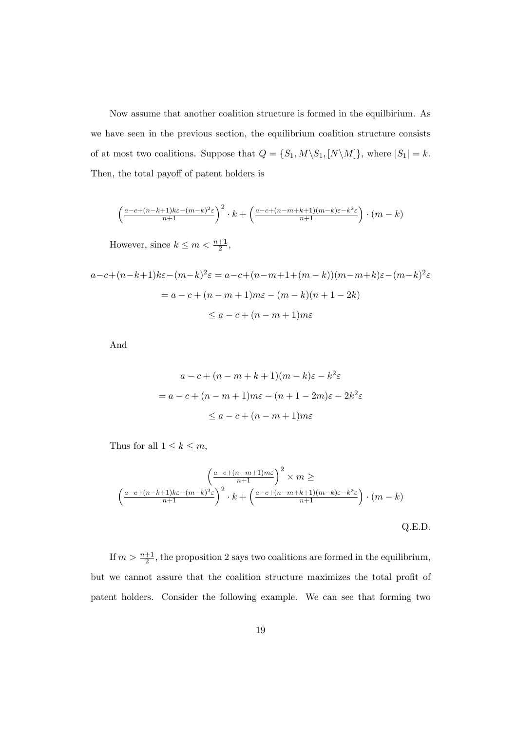Now assume that another coalition structure is formed in the equilbirium. As we have seen in the previous section, the equilibrium coalition structure consists of at most two coalitions. Suppose that  $Q = \{S_1, M \setminus S_1, [N \setminus M]\}$ , where  $|S_1| = k$ . Then, the total payoff of patent holders is

$$
\left(\frac{a-c+(n-k+1)k\varepsilon-(m-k)^2\varepsilon}{n+1}\right)^2 \cdot k + \left(\frac{a-c+(n-m+k+1)(m-k)\varepsilon-k^2\varepsilon}{n+1}\right) \cdot (m-k)
$$

However, since  $k \leq m < \frac{n+1}{2}$ ,

$$
a-c+(n-k+1)k\varepsilon-(m-k)^2\varepsilon = a-c+(n-m+1+(m-k))(m-m+k)\varepsilon-(m-k)^2\varepsilon
$$
  
=  $a-c+(n-m+1)m\varepsilon-(m-k)(n+1-2k)$   

$$
\le a-c+(n-m+1)m\varepsilon
$$

And

$$
a - c + (n - m + k + 1)(m - k)\varepsilon - k^2 \varepsilon
$$
  
=  $a - c + (n - m + 1)m\varepsilon - (n + 1 - 2m)\varepsilon - 2k^2\varepsilon$   
 $\le a - c + (n - m + 1)m\varepsilon$ 

Thus for all  $1 \leq k \leq m$ ,

$$
\left(\frac{a-c+(n-m+1)m\varepsilon}{n+1}\right)^2 \times m \ge
$$
\n
$$
\left(\frac{a-c+(n-k+1)k\varepsilon-(m-k)^2\varepsilon}{n+1}\right)^2 \cdot k + \left(\frac{a-c+(n-m+k+1)(m-k)\varepsilon-k^2\varepsilon}{n+1}\right) \cdot (m-k)
$$
\nQ.E.D.

If  $m > \frac{n+1}{2}$ , the proposition 2 says two coalitions are formed in the equilibrium, but we cannot assure that the coalition structure maximizes the total profit of patent holders. Consider the following example. We can see that forming two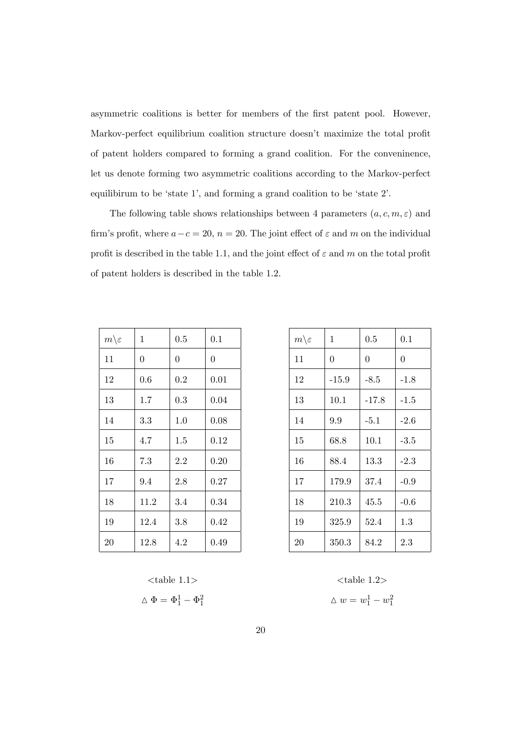asymmetric coalitions is better for members of the first patent pool. However, Markov-perfect equilibrium coalition structure doesn't maximize the total profit of patent holders compared to forming a grand coalition. For the conveninence, let us denote forming two asymmetric coalitions according to the Markov-perfect equilibirum to be 'state 1', and forming a grand coalition to be 'state 2'.

The following table shows relationships between 4 parameters  $(a, c, m, \varepsilon)$  and firm's profit, where  $a-c = 20$ ,  $n = 20$ . The joint effect of  $\varepsilon$  and  $m$  on the individual profit is described in the table 1.1, and the joint effect of  $\varepsilon$  and  $m$  on the total profit of patent holders is described in the table 1.2.

| $m \backslash \varepsilon$ | 1              | 0.5            | 0.1            |
|----------------------------|----------------|----------------|----------------|
| 11                         | $\overline{0}$ | $\overline{0}$ | $\overline{0}$ |
| 12                         | 0.6            | 0.2            | 0.01           |
| 13                         | 1.7            | 0.3            | 0.04           |
| 14                         | $3.3\,$        | 1.0            | 0.08           |
| 15                         | 4.7            | 1.5            | 0.12           |
| 16                         | 7.3            | 2.2            | 0.20           |
| 17                         | 9.4            | 2.8            | 0.27           |
| 18                         | 11.2           | 3.4            | 0.34           |
| 19                         | 12.4           | 3.8            | 0.42           |
| 20                         | 12.8           | 4.2            | 0.49           |

| $m \backslash \varepsilon$ | 1       | 0.5      | 0.1      |
|----------------------------|---------|----------|----------|
| 11                         | 0       | $\theta$ | $\theta$ |
| 12                         | $-15.9$ | $-8.5$   | $-1.8$   |
| 13                         | 10.1    | $-17.8$  | $-1.5$   |
| 14                         | $9.9\,$ | $-5.1$   | $-2.6$   |
| 15                         | 68.8    | 10.1     | $-3.5$   |
| 16                         | 88.4    | 13.3     | $-2.3$   |
| 17                         | 179.9   | 37.4     | $-0.9$   |
| 18                         | 210.3   | 45.5     | $-0.6$   |
| 19                         | 325.9   | 52.4     | 1.3      |
| 20                         | 350.3   | 84.2     | $2.3\,$  |

$$
\langle \text{table 1.1>} \\ \Delta \Phi = \Phi_1^1 - \Phi_2^1
$$

$$
\Phi=\Phi_1^1-\Phi_1^2
$$

\n
$$
\langle \text{table 1.1}\rangle
$$
\n

\n\n $\Phi = \Phi_1^1 - \Phi_1^2$ \n

\n\n $\Delta w = w_1^1 - w_1^2$ \n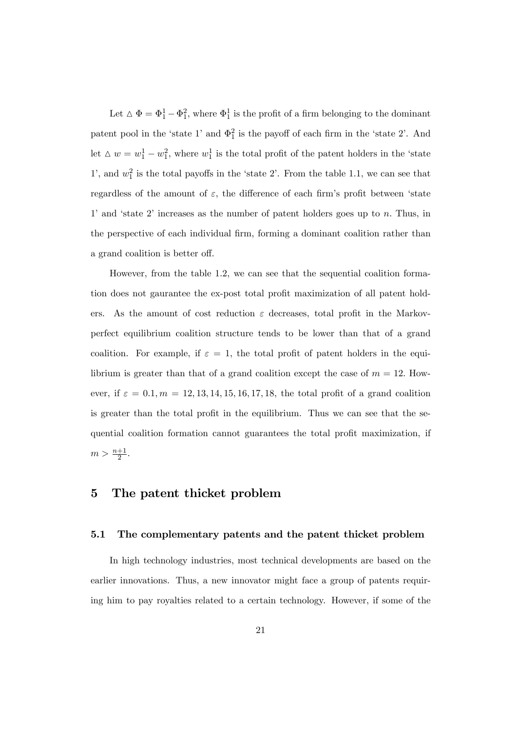Let  $\Delta \Phi = \Phi_1^1 - \Phi_1^2$ , where  $\Phi_1^1$  is the profit of a firm belonging to the dominant patent pool in the 'state 1' and  $\Phi_1^2$  is the payoff of each firm in the 'state 2'. And let  $\Delta w = w_1^1 - w_1^2$ , where  $w_1^1$  is the total profit of the patent holders in the 'state 1', and  $w_1^2$  is the total payoffs in the 'state 2'. From the table 1.1, we can see that regardless of the amount of  $\varepsilon$ , the difference of each firm's profit between 'state 1' and 'state 2' increases as the number of patent holders goes up to  $n$ . Thus, in the perspective of each individual Örm, forming a dominant coalition rather than a grand coalition is better off.

However, from the table 1:2, we can see that the sequential coalition formation does not gaurantee the ex-post total profit maximization of all patent holders. As the amount of cost reduction  $\varepsilon$  decreases, total profit in the Markovperfect equilibrium coalition structure tends to be lower than that of a grand coalition. For example, if  $\varepsilon = 1$ , the total profit of patent holders in the equilibrium is greater than that of a grand coalition except the case of  $m = 12$ . However, if  $\varepsilon = 0.1, m = 12, 13, 14, 15, 16, 17, 18$ , the total profit of a grand coalition is greater than the total profit in the equilibrium. Thus we can see that the sequential coalition formation cannot guarantees the total profit maximization, if  $m > \frac{n+1}{2}.$ 

## 5 The patent thicket problem

## 5.1 The complementary patents and the patent thicket problem

In high technology industries, most technical developments are based on the earlier innovations. Thus, a new innovator might face a group of patents requiring him to pay royalties related to a certain technology. However, if some of the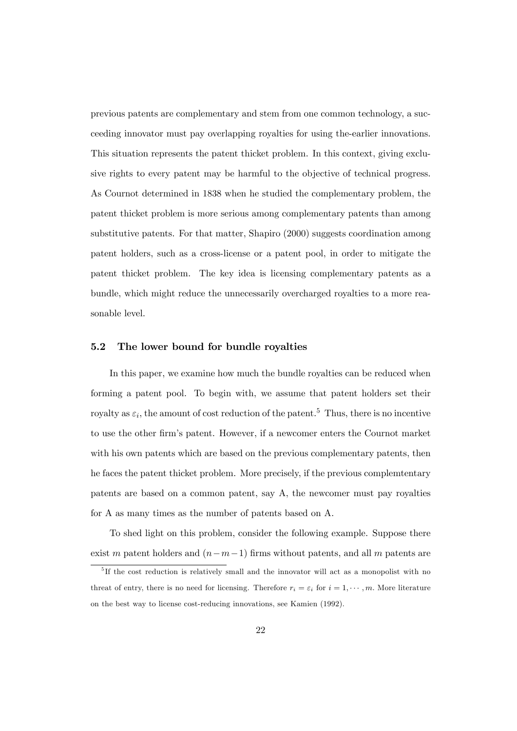previous patents are complementary and stem from one common technology, a succeeding innovator must pay overlapping royalties for using the-earlier innovations. This situation represents the patent thicket problem. In this context, giving exclusive rights to every patent may be harmful to the objective of technical progress. As Cournot determined in 1838 when he studied the complementary problem, the patent thicket problem is more serious among complementary patents than among substitutive patents. For that matter, Shapiro (2000) suggests coordination among patent holders, such as a cross-license or a patent pool, in order to mitigate the patent thicket problem. The key idea is licensing complementary patents as a bundle, which might reduce the unnecessarily overcharged royalties to a more reasonable level.

## 5.2 The lower bound for bundle royalties

In this paper, we examine how much the bundle royalties can be reduced when forming a patent pool. To begin with, we assume that patent holders set their royalty as  $\varepsilon_i$ , the amount of cost reduction of the patent.<sup>5</sup> Thus, there is no incentive to use the other Örmís patent. However, if a newcomer enters the Cournot market with his own patents which are based on the previous complementary patents, then he faces the patent thicket problem. More precisely, if the previous complemtentary patents are based on a common patent, say A, the newcomer must pay royalties for A as many times as the number of patents based on A.

To shed light on this problem, consider the following example. Suppose there exist m patent holders and  $(n-m-1)$  firms without patents, and all m patents are

<sup>&</sup>lt;sup>5</sup>If the cost reduction is relatively small and the innovator will act as a monopolist with no threat of entry, there is no need for licensing. Therefore  $r_i = \varepsilon_i$  for  $i = 1, \dots, m$ . More literature on the best way to license cost-reducing innovations, see Kamien (1992).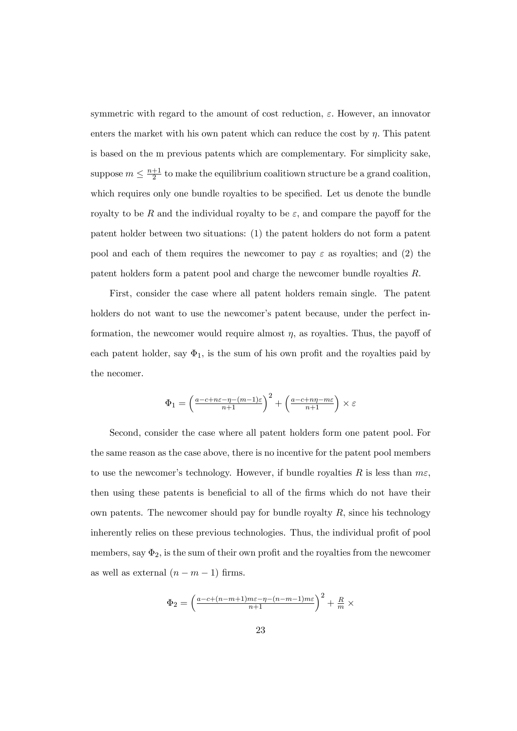symmetric with regard to the amount of cost reduction,  $\varepsilon$ . However, an innovator enters the market with his own patent which can reduce the cost by  $\eta$ . This patent is based on the m previous patents which are complementary. For simplicity sake, suppose  $m \leq \frac{n+1}{2}$  $\frac{+1}{2}$  to make the equilibrium coalitiown structure be a grand coalition, which requires only one bundle royalties to be specified. Let us denote the bundle royalty to be R and the individual royalty to be  $\varepsilon$ , and compare the payoff for the patent holder between two situations: (1) the patent holders do not form a patent pool and each of them requires the newcomer to pay  $\varepsilon$  as royalties; and (2) the patent holders form a patent pool and charge the newcomer bundle royalties R:

First, consider the case where all patent holders remain single. The patent holders do not want to use the newcomer's patent because, under the perfect information, the newcomer would require almost  $\eta$ , as royalties. Thus, the payoff of each patent holder, say  $\Phi_1$ , is the sum of his own profit and the royalties paid by the necomer.

$$
\Phi_1 = \left(\frac{a-c+n\varepsilon-\eta-(m-1)\varepsilon}{n+1}\right)^2 + \left(\frac{a-c+n\eta-m\varepsilon}{n+1}\right) \times \varepsilon
$$

Second, consider the case where all patent holders form one patent pool: For the same reason as the case above, there is no incentive for the patent pool members to use the newcomer's technology. However, if bundle royalties R is less than  $m\epsilon$ . then using these patents is beneficial to all of the firms which do not have their own patents. The newcomer should pay for bundle royalty  $R$ , since his technology inherently relies on these previous technologies. Thus, the individual profit of pool members, say  $\Phi_2$ , is the sum of their own profit and the royalties from the newcomer as well as external  $(n - m - 1)$  firms.

$$
\Phi_2 = \left(\frac{a-c+(n-m+1)m\varepsilon-\eta-(n-m-1)m\varepsilon}{n+1}\right)^2 + \frac{R}{m} \times
$$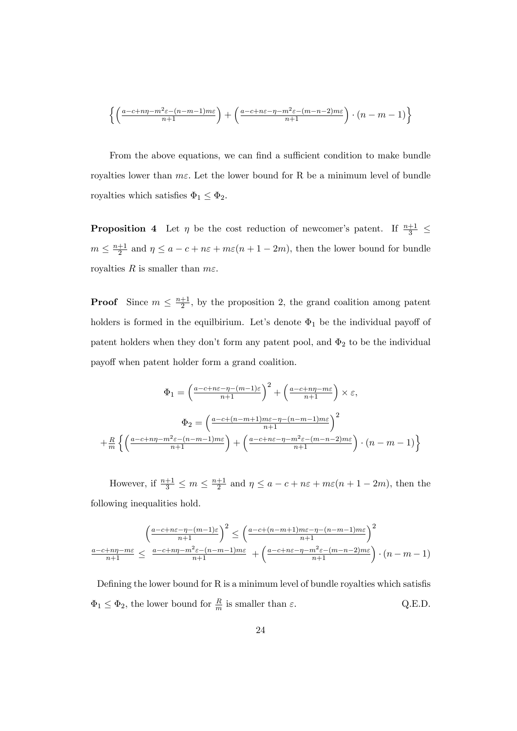$$
\left\{ \left( \frac{a-c+n\eta - m^2 \varepsilon - (n-m-1)m\varepsilon}{n+1} \right) + \left( \frac{a-c+n\varepsilon - \eta - m^2 \varepsilon - (m-n-2)m\varepsilon}{n+1} \right) \cdot (n-m-1) \right\}
$$

From the above equations, we can find a sufficient condition to make bundle royalties lower than  $m\epsilon$ . Let the lower bound for R be a minimum level of bundle royalties which satisfies  $\Phi_1 \leq \Phi_2$ .

**Proposition 4** Let  $\eta$  be the cost reduction of newcomer's patent. If  $\frac{n+1}{3} \leq$  $m \leq \frac{n+1}{2}$  $\frac{+1}{2}$  and  $\eta \le a - c + n\varepsilon + m\varepsilon(n + 1 - 2m)$ , then the lower bound for bundle royalties R is smaller than  $m\varepsilon$ .

**Proof** Since  $m \leq \frac{n+1}{2}$  $\frac{+1}{2}$ , by the proposition 2, the grand coalition among patent holders is formed in the equilbirium. Let's denote  $\Phi_1$  be the individual payoff of patent holders when they don't form any patent pool, and  $\Phi_2$  to be the individual payoff when patent holder form a grand coalition.

$$
\Phi_1 = \left(\frac{a-c+n\varepsilon-\eta-(m-1)\varepsilon}{n+1}\right)^2 + \left(\frac{a-c+n\eta-m\varepsilon}{n+1}\right) \times \varepsilon,
$$

$$
\Phi_2 = \left(\frac{a-c+(n-m+1)m\varepsilon-\eta-(n-m-1)m\varepsilon}{n+1}\right)^2
$$

$$
+\frac{R}{m}\left\{\left(\frac{a-c+n\eta-m^2\varepsilon-(n-m-1)m\varepsilon}{n+1}\right) + \left(\frac{a-c+n\varepsilon-\eta-m^2\varepsilon-(m-n-2)m\varepsilon}{n+1}\right) \cdot (n-m-1)\right\}
$$

However, if  $\frac{n+1}{3} \leq m \leq \frac{n+1}{2}$  $\frac{+1}{2}$  and  $\eta \le a - c + n\varepsilon + m\varepsilon(n + 1 - 2m)$ , then the following inequalities hold.

$$
\frac{\left(\frac{a-c+n\varepsilon-\eta-(m-1)\varepsilon}{n+1}\right)^2 \le \left(\frac{a-c+(n-m+1)m\varepsilon-\eta-(n-m-1)m\varepsilon}{n+1}\right)^2}{\frac{a-c+n\eta-m\varepsilon}{n+1} \le \frac{a-c+n\eta-m^2\varepsilon-(n-m-1)m\varepsilon}{n+1} + \left(\frac{a-c+n\varepsilon-\eta-m^2\varepsilon-(m-n-2)m\varepsilon}{n+1}\right) \cdot (n-m-1)
$$

Defining the lower bound for  $R$  is a minimum level of bundle royalties which satisfis  $\Phi_1 \leq \Phi_2$ , the lower bound for  $\frac{R}{m}$  is smaller than  $\varepsilon$ . Q.E.D.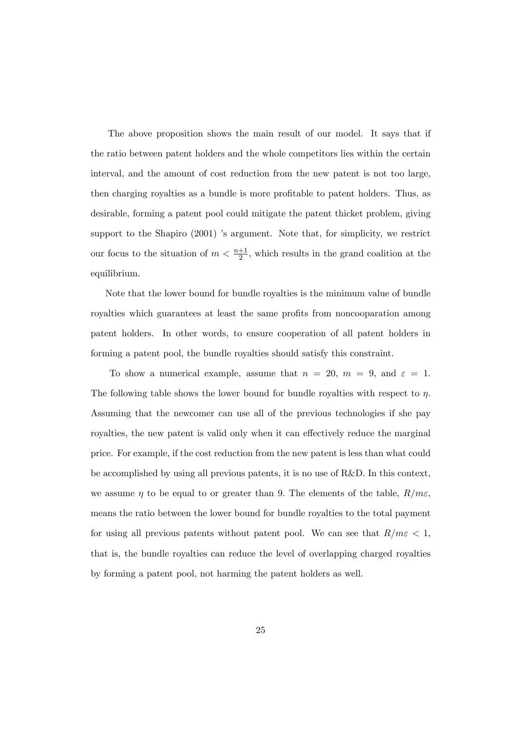The above proposition shows the main result of our model. It says that if the ratio between patent holders and the whole competitors lies within the certain interval, and the amount of cost reduction from the new patent is not too large, then charging royalties as a bundle is more profitable to patent holders. Thus, as desirable, forming a patent pool could mitigate the patent thicket problem, giving support to the Shapiro  $(2001)$  's argument. Note that, for simplicity, we restrict our focus to the situation of  $m < \frac{n+1}{2}$ , which results in the grand coalition at the equilibrium.

Note that the lower bound for bundle royalties is the minimum value of bundle royalties which guarantees at least the same profits from noncooparation among patent holders. In other words, to ensure cooperation of all patent holders in forming a patent pool, the bundle royalties should satisfy this constraint.

To show a numerical example, assume that  $n = 20$ ,  $m = 9$ , and  $\varepsilon = 1$ . The following table shows the lower bound for bundle royalties with respect to  $\eta$ . Assuming that the newcomer can use all of the previous technologies if she pay royalties, the new patent is valid only when it can effectively reduce the marginal price. For example, if the cost reduction from the new patent is less than what could be accomplished by using all previous patents, it is no use of R&D. In this context, we assume  $\eta$  to be equal to or greater than 9. The elements of the table,  $R/m\varepsilon$ ; means the ratio between the lower bound for bundle royalties to the total payment for using all previous patents without patent pool. We can see that  $R/m \epsilon < 1$ , that is, the bundle royalties can reduce the level of overlapping charged royalties by forming a patent pool, not harming the patent holders as well.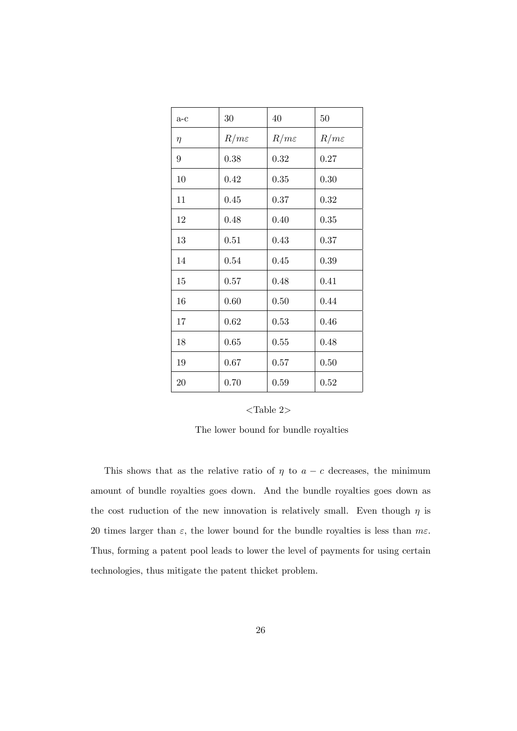| $a-c$           | 30               | 40               | 50               |
|-----------------|------------------|------------------|------------------|
| $\eta$          | $R/m\varepsilon$ | $R/m\varepsilon$ | $R/m\varepsilon$ |
| $9\phantom{.0}$ | 0.38             | 0.32             | 0.27             |
| 10              | 0.42             | 0.35             | 0.30             |
| 11              | 0.45             | 0.37             | 0.32             |
| 12              | 0.48             | 0.40             | 0.35             |
| 13              | 0.51             | 0.43             | 0.37             |
| 14              | 0.54             | 0.45             | 0.39             |
| 15              | 0.57             | 0.48             | 0.41             |
| 16              | 0.60             | 0.50             | 0.44             |
| 17              | 0.62             | 0.53             | 0.46             |
| 18              | 0.65             | 0.55             | 0.48             |
| 19              | 0.67             | 0.57             | 0.50             |
| 20              | 0.70             | 0.59             | 0.52             |

| Table |  |
|-------|--|
|-------|--|

The lower bound for bundle royalties

This shows that as the relative ratio of  $\eta$  to  $a - c$  decreases, the minimum amount of bundle royalties goes down. And the bundle royalties goes down as the cost ruduction of the new innovation is relatively small. Even though  $\eta$  is 20 times larger than  $\varepsilon$ , the lower bound for the bundle royalties is less than  $m\varepsilon$ . Thus, forming a patent pool leads to lower the level of payments for using certain technologies, thus mitigate the patent thicket problem.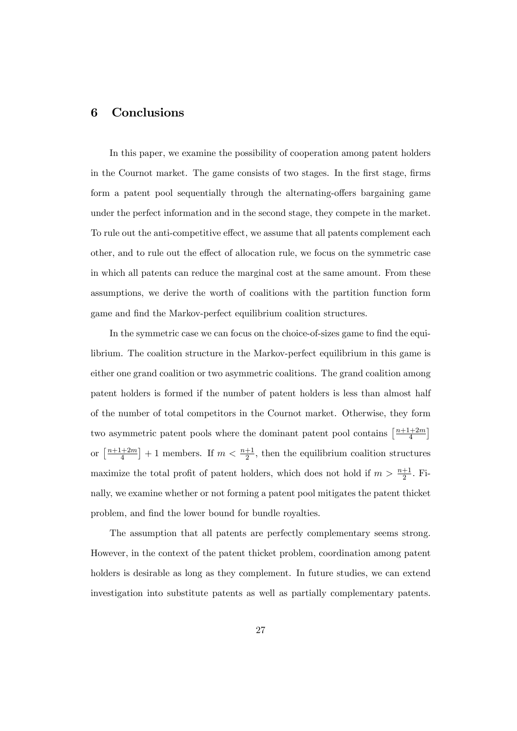# 6 Conclusions

In this paper, we examine the possibility of cooperation among patent holders in the Cournot market. The game consists of two stages. In the first stage, firms form a patent pool sequentially through the alternating-offers bargaining game under the perfect information and in the second stage, they compete in the market. To rule out the anti-competitive effect, we assume that all patents complement each other, and to rule out the effect of allocation rule, we focus on the symmetric case in which all patents can reduce the marginal cost at the same amount. From these assumptions, we derive the worth of coalitions with the partition function form game and find the Markov-perfect equilibrium coalition structures.

In the symmetric case we can focus on the choice-of-sizes game to find the equilibrium. The coalition structure in the Markov-perfect equilibrium in this game is either one grand coalition or two asymmetric coalitions. The grand coalition among patent holders is formed if the number of patent holders is less than almost half of the number of total competitors in the Cournot market. Otherwise, they form two asymmetric patent pools where the dominant patent pool contains  $\frac{n+1+2m}{4}$  $\frac{+2m}{4}$ ] or  $\left[\frac{n+1+2m}{4}\right]$  $\left[\frac{+2m}{4}\right]+1$  members. If  $m < \frac{n+1}{2}$ , then the equilibrium coalition structures maximize the total profit of patent holders, which does not hold if  $m > \frac{n+1}{2}$ . Finally, we examine whether or not forming a patent pool mitigates the patent thicket problem, and find the lower bound for bundle royalties.

The assumption that all patents are perfectly complementary seems strong. However, in the context of the patent thicket problem, coordination among patent holders is desirable as long as they complement. In future studies, we can extend investigation into substitute patents as well as partially complementary patents.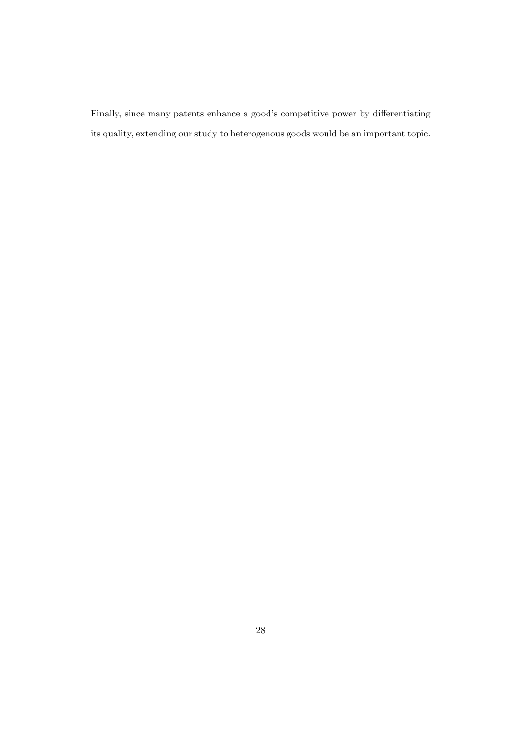Finally, since many patents enhance a good's competitive power by differentiating its quality, extending our study to heterogenous goods would be an important topic.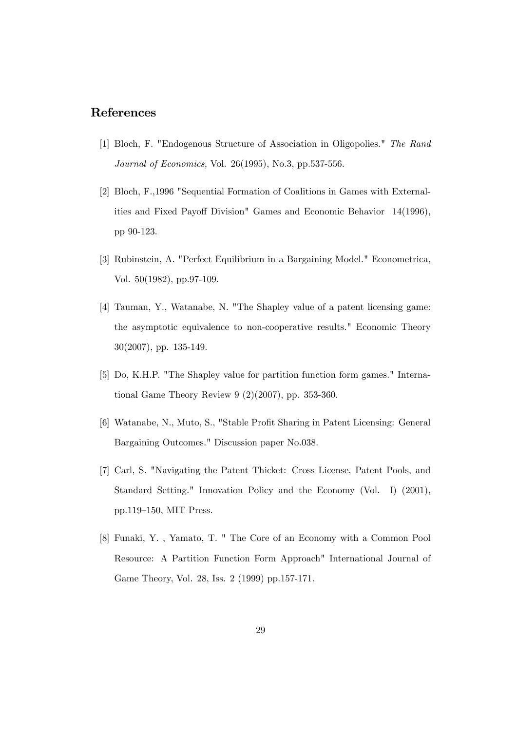# References

- [1] Bloch, F. "Endogenous Structure of Association in Oligopolies." The Rand Journal of Economics, Vol. 26(1995), No.3, pp.537-556.
- [2] Bloch, F.,1996 "Sequential Formation of Coalitions in Games with Externalities and Fixed Payoff Division" Games and Economic Behavior 14(1996), pp 90-123.
- [3] Rubinstein, A. "Perfect Equilibrium in a Bargaining Model." Econometrica, Vol. 50(1982), pp.97-109.
- [4] Tauman, Y., Watanabe, N. "The Shapley value of a patent licensing game: the asymptotic equivalence to non-cooperative results." Economic Theory 30(2007), pp. 135-149.
- [5] Do, K.H.P. "The Shapley value for partition function form games." International Game Theory Review 9 (2)(2007), pp. 353-360.
- [6] Watanabe, N., Muto, S., "Stable Profit Sharing in Patent Licensing: General Bargaining Outcomes." Discussion paper No.038.
- [7] Carl, S. "Navigating the Patent Thicket: Cross License, Patent Pools, and Standard Setting." Innovation Policy and the Economy (Vol. I) (2001),  $pp.119-150$ , MIT Press.
- [8] Funaki, Y. , Yamato, T. " The Core of an Economy with a Common Pool Resource: A Partition Function Form Approach" International Journal of Game Theory, Vol. 28, Iss. 2 (1999) pp.157-171.